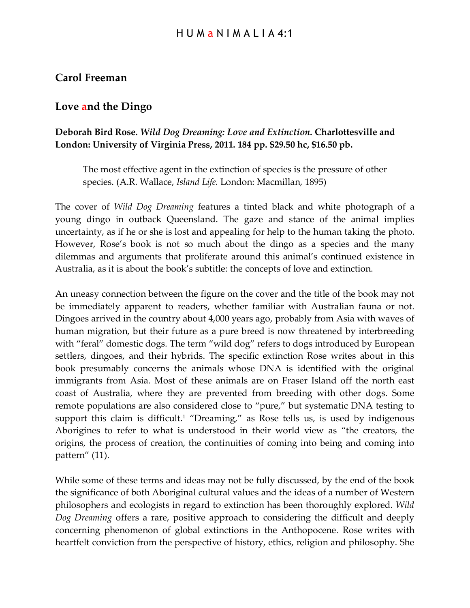## **Carol Freeman**

## **Love and the Dingo**

## **Deborah Bird Rose.** *Wild Dog Dreaming: Love and Extinction***. Charlottesville and London: University of Virginia Press, 2011. 184 pp. \$29.50 hc, \$16.50 pb.**

The most effective agent in the extinction of species is the pressure of other species. (A.R. Wallace, *Island Life.* London: Macmillan, 1895)

The cover of *Wild Dog Dreaming* features a tinted black and white photograph of a young dingo in outback Queensland. The gaze and stance of the animal implies uncertainty, as if he or she is lost and appealing for help to the human taking the photo. However, Rose's book is not so much about the dingo as a species and the many dilemmas and arguments that proliferate around this animal's continued existence in Australia, as it is about the book's subtitle: the concepts of love and extinction.

An uneasy connection between the figure on the cover and the title of the book may not be immediately apparent to readers, whether familiar with Australian fauna or not. Dingoes arrived in the country about 4,000 years ago, probably from Asia with waves of human migration, but their future as a pure breed is now threatened by interbreeding with "feral" domestic dogs. The term "wild dog" refers to dogs introduced by European settlers, dingoes, and their hybrids. The specific extinction Rose writes about in this book presumably concerns the animals whose DNA is identified with the original immigrants from Asia. Most of these animals are on Fraser Island off the north east coast of Australia, where they are prevented from breeding with other dogs. Some remote populations are also considered close to "pure," but systematic DNA testing to support this claim is difficult.<sup>1</sup> "Dreaming," as Rose tells us, is used by indigenous Aborigines to refer to what is understood in their world view as "the creators, the origins, the process of creation, the continuities of coming into being and coming into pattern" (11).

While some of these terms and ideas may not be fully discussed, by the end of the book the significance of both Aboriginal cultural values and the ideas of a number of Western philosophers and ecologists in regard to extinction has been thoroughly explored. *Wild Dog Dreaming* offers a rare, positive approach to considering the difficult and deeply concerning phenomenon of global extinctions in the Anthopocene. Rose writes with heartfelt conviction from the perspective of history, ethics, religion and philosophy. She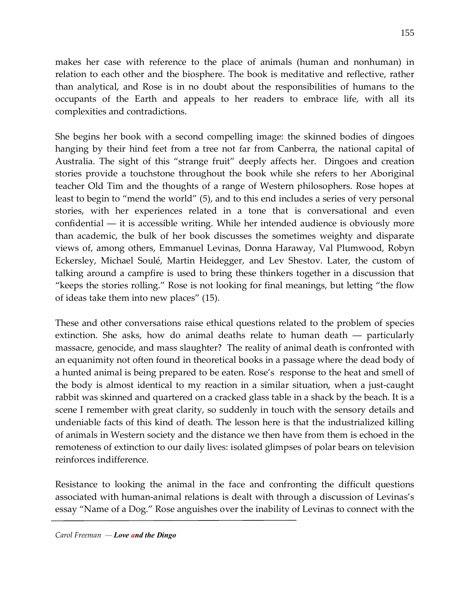makes her case with reference to the place of animals (human and nonhuman) in relation to each other and the biosphere. The book is meditative and reflective, rather than analytical, and Rose is in no doubt about the responsibilities of humans to the occupants of the Earth and appeals to her readers to embrace life, with all its complexities and contradictions.

She begins her book with a second compelling image: the skinned bodies of dingoes hanging by their hind feet from a tree not far from Canberra, the national capital of Australia. The sight of this "strange fruit" deeply affects her. Dingoes and creation stories provide a touchstone throughout the book while she refers to her Aboriginal teacher Old Tim and the thoughts of a range of Western philosophers. Rose hopes at least to begin to "mend the world" (5), and to this end includes a series of very personal stories, with her experiences related in a tone that is conversational and even confidential ― it is accessible writing. While her intended audience is obviously more than academic, the bulk of her book discusses the sometimes weighty and disparate views of, among others, Emmanuel Levinas, Donna Haraway, Val Plumwood, Robyn Eckersley, Michael Soulé, Martin Heidegger, and Lev Shestov. Later, the custom of talking around a campfire is used to bring these thinkers together in a discussion that "keeps the stories rolling." Rose is not looking for final meanings, but letting "the flow of ideas take them into new places" (15).

These and other conversations raise ethical questions related to the problem of species extinction. She asks, how do animal deaths relate to human death ― particularly massacre, genocide, and mass slaughter? The reality of animal death is confronted with an equanimity not often found in theoretical books in a passage where the dead body of a hunted animal is being prepared to be eaten. Rose's response to the heat and smell of the body is almost identical to my reaction in a similar situation, when a just-caught rabbit was skinned and quartered on a cracked glass table in a shack by the beach. It is a scene I remember with great clarity, so suddenly in touch with the sensory details and undeniable facts of this kind of death. The lesson here is that the industrialized killing of animals in Western society and the distance we then have from them is echoed in the remoteness of extinction to our daily lives: isolated glimpses of polar bears on television reinforces indifference.

Resistance to looking the animal in the face and confronting the difficult questions associated with human-animal relations is dealt with through a discussion of Levinas's essay "Name of a Dog." Rose anguishes over the inability of Levinas to connect with the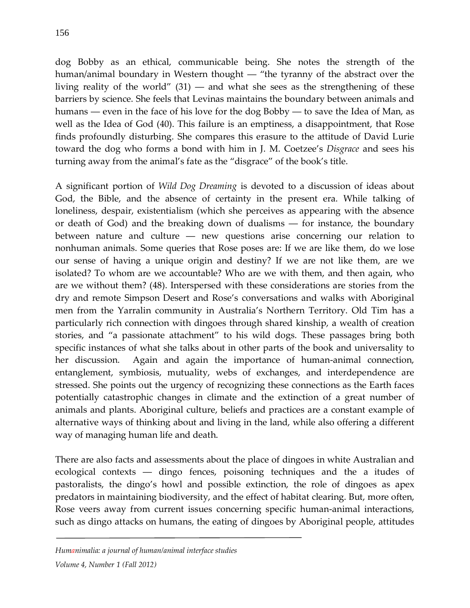dog Bobby as an ethical, communicable being. She notes the strength of the human/animal boundary in Western thought ― "the tyranny of the abstract over the living reality of the world"  $(31)$  — and what she sees as the strengthening of these barriers by science. She feels that Levinas maintains the boundary between animals and humans ― even in the face of his love for the dog Bobby ― to save the Idea of Man, as well as the Idea of God (40). This failure is an emptiness, a disappointment, that Rose finds profoundly disturbing. She compares this erasure to the attitude of David Lurie toward the dog who forms a bond with him in J. M. Coetzee's *Disgrace* and sees his turning away from the animal's fate as the "disgrace" of the book's title.

A significant portion of *Wild Dog Dreaming* is devoted to a discussion of ideas about God, the Bible, and the absence of certainty in the present era. While talking of loneliness, despair, existentialism (which she perceives as appearing with the absence or death of God) and the breaking down of dualisms ― for instance, the boundary between nature and culture ― new questions arise concerning our relation to nonhuman animals. Some queries that Rose poses are: If we are like them, do we lose our sense of having a unique origin and destiny? If we are not like them, are we isolated? To whom are we accountable? Who are we with them, and then again, who are we without them? (48). Interspersed with these considerations are stories from the dry and remote Simpson Desert and Rose's conversations and walks with Aboriginal men from the Yarralin community in Australia's Northern Territory. Old Tim has a particularly rich connection with dingoes through shared kinship, a wealth of creation stories, and "a passionate attachment" to his wild dogs. These passages bring both specific instances of what she talks about in other parts of the book and universality to her discussion. Again and again the importance of human-animal connection, entanglement, symbiosis, mutuality, webs of exchanges, and interdependence are stressed. She points out the urgency of recognizing these connections as the Earth faces potentially catastrophic changes in climate and the extinction of a great number of animals and plants. Aboriginal culture, beliefs and practices are a constant example of alternative ways of thinking about and living in the land, while also offering a different way of managing human life and death.

There are also facts and assessments about the place of dingoes in white Australian and ecological contexts ― dingo fences, poisoning techniques and the a itudes of pastoralists, the dingo's howl and possible extinction, the role of dingoes as apex predators in maintaining biodiversity, and the effect of habitat clearing. But, more often, Rose veers away from current issues concerning specific human-animal interactions, such as dingo attacks on humans, the eating of dingoes by Aboriginal people, attitudes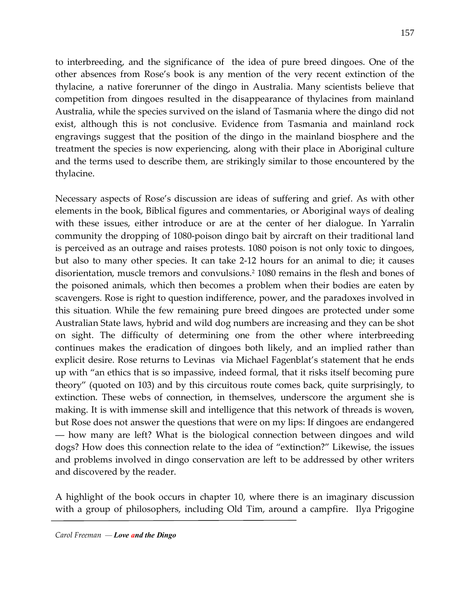to interbreeding, and the significance of the idea of pure breed dingoes. One of the other absences from Rose's book is any mention of the very recent extinction of the thylacine, a native forerunner of the dingo in Australia. Many scientists believe that competition from dingoes resulted in the disappearance of thylacines from mainland Australia, while the species survived on the island of Tasmania where the dingo did not exist, although this is not conclusive. Evidence from Tasmania and mainland rock engravings suggest that the position of the dingo in the mainland biosphere and the treatment the species is now experiencing, along with their place in Aboriginal culture and the terms used to describe them, are strikingly similar to those encountered by the thylacine.

Necessary aspects of Rose's discussion are ideas of suffering and grief. As with other elements in the book, Biblical figures and commentaries, or Aboriginal ways of dealing with these issues, either introduce or are at the center of her dialogue. In Yarralin community the dropping of 1080-poison dingo bait by aircraft on their traditional land is perceived as an outrage and raises protests. 1080 poison is not only toxic to dingoes, but also to many other species. It can take 2-12 hours for an animal to die; it causes disorientation, muscle tremors and convulsions.2 1080 remains in the flesh and bones of the poisoned animals, which then becomes a problem when their bodies are eaten by scavengers. Rose is right to question indifference, power, and the paradoxes involved in this situation. While the few remaining pure breed dingoes are protected under some Australian State laws, hybrid and wild dog numbers are increasing and they can be shot on sight. The difficulty of determining one from the other where interbreeding continues makes the eradication of dingoes both likely, and an implied rather than explicit desire. Rose returns to Levinas via Michael Fagenblat's statement that he ends up with "an ethics that is so impassive, indeed formal, that it risks itself becoming pure theory" (quoted on 103) and by this circuitous route comes back, quite surprisingly, to extinction. These webs of connection, in themselves, underscore the argument she is making. It is with immense skill and intelligence that this network of threads is woven, but Rose does not answer the questions that were on my lips: If dingoes are endangered ― how many are left? What is the biological connection between dingoes and wild dogs? How does this connection relate to the idea of "extinction?" Likewise, the issues and problems involved in dingo conservation are left to be addressed by other writers and discovered by the reader.

A highlight of the book occurs in chapter 10, where there is an imaginary discussion with a group of philosophers, including Old Tim, around a campfire. Ilya Prigogine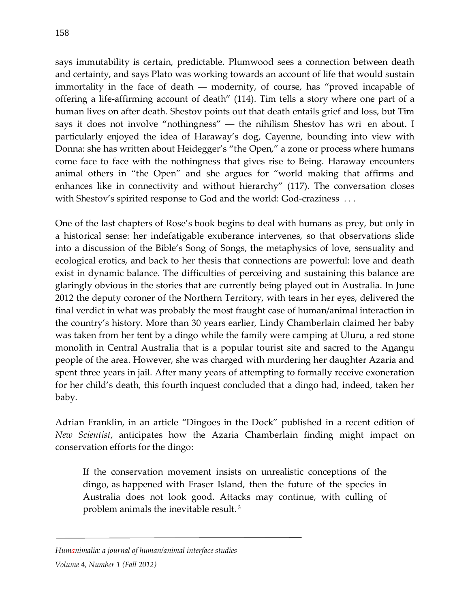says immutability is certain, predictable. Plumwood sees a connection between death and certainty, and says Plato was working towards an account of life that would sustain immortality in the face of death ― modernity, of course, has "proved incapable of

offering a life-affirming account of death" (114). Tim tells a story where one part of a human lives on after death. Shestov points out that death entails grief and loss, but Tim says it does not involve "nothingness" ― the nihilism Shestov has wri en about. I particularly enjoyed the idea of Haraway's dog, Cayenne, bounding into view with Donna: she has written about Heidegger's "the Open," a zone or process where humans come face to face with the nothingness that gives rise to Being. Haraway encounters animal others in "the Open" and she argues for "world making that affirms and enhances like in connectivity and without hierarchy" (117). The conversation closes with Shestov's spirited response to God and the world: God-craziness ...

One of the last chapters of Rose's book begins to deal with humans as prey, but only in a historical sense: her indefatigable exuberance intervenes, so that observations slide into a discussion of the Bible's Song of Songs, the metaphysics of love, sensuality and ecological erotics, and back to her thesis that connections are powerful: love and death exist in dynamic balance. The difficulties of perceiving and sustaining this balance are glaringly obvious in the stories that are currently being played out in Australia. In June 2012 the deputy coroner of the Northern Territory, with tears in her eyes, delivered the final verdict in what was probably the most fraught case of human/animal interaction in the country's history. More than 30 years earlier, Lindy Chamberlain claimed her baby was taken from her tent by a dingo while the family were camping at Uluru, a red stone monolith in Central Australia that is a popular tourist site and sacred to the Anangu people of the area. However, she was charged with murdering her daughter Azaria and spent three years in jail. After many years of attempting to formally receive exoneration for her child's death, this fourth inquest concluded that a dingo had, indeed, taken her baby.

Adrian Franklin, in an article "Dingoes in the Dock" published in a recent edition of *New Scientist*, anticipates how the Azaria Chamberlain finding might impact on conservation efforts for the dingo:

If the conservation movement insists on unrealistic conceptions of the dingo, as happened with Fraser Island, then the future of the species in Australia does not look good. Attacks may continue, with culling of problem animals the inevitable result. <sup>3</sup>

*Humanimalia: a journal of human/animal interface studies Volume 4, Number 1 (Fall 2012)*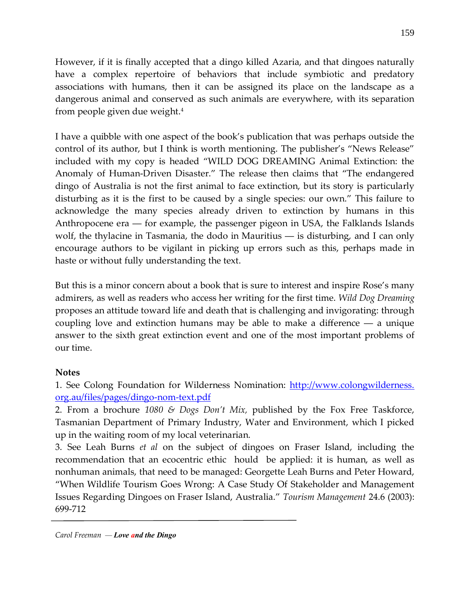However, if it is finally accepted that a dingo killed Azaria, and that dingoes naturally have a complex repertoire of behaviors that include symbiotic and predatory associations with humans, then it can be assigned its place on the landscape as a dangerous animal and conserved as such animals are everywhere, with its separation from people given due weight.4

I have a quibble with one aspect of the book's publication that was perhaps outside the control of its author, but I think is worth mentioning. The publisher's "News Release" included with my copy is headed "WILD DOG DREAMING Animal Extinction: the Anomaly of Human-Driven Disaster." The release then claims that "The endangered dingo of Australia is not the first animal to face extinction, but its story is particularly disturbing as it is the first to be caused by a single species: our own." This failure to acknowledge the many species already driven to extinction by humans in this Anthropocene era ― for example, the passenger pigeon in USA, the Falklands Islands wolf, the thylacine in Tasmania, the dodo in Mauritius — is disturbing, and I can only encourage authors to be vigilant in picking up errors such as this, perhaps made in haste or without fully understanding the text.

But this is a minor concern about a book that is sure to interest and inspire Rose's many admirers, as well as readers who access her writing for the first time. *Wild Dog Dreaming* proposes an attitude toward life and death that is challenging and invigorating: through coupling love and extinction humans may be able to make a difference ― a unique answer to the sixth great extinction event and one of the most important problems of our time.

## **Notes**

1. See Colong Foundation for Wilderness Nomination: http://www.colongwilderness. org.au/files/pages/dingo-nom-text.pdf

2. From a brochure *1080 & Dogs Don't Mix,* published by the Fox Free Taskforce, Tasmanian Department of Primary Industry, Water and Environment, which I picked up in the waiting room of my local veterinarian.

3. See Leah Burns *et al* on the subject of dingoes on Fraser Island, including the recommendation that an ecocentric ethic hould be applied: it is human, as well as nonhuman animals, that need to be managed: Georgette Leah Burns and Peter Howard, "When Wildlife Tourism Goes Wrong: A Case Study Of Stakeholder and Management Issues Regarding Dingoes on Fraser Island, Australia." *Tourism Management* 24.6 (2003): 699-712